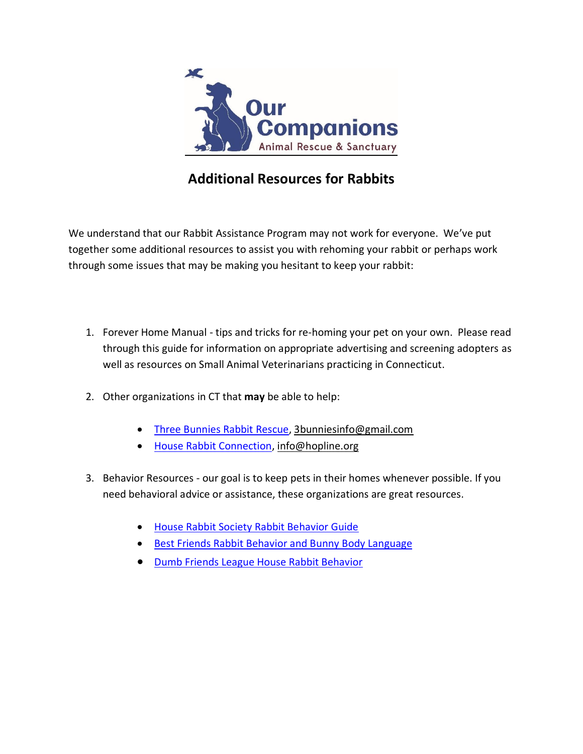

### **Additional Resources for Rabbits**

We understand that our Rabbit Assistance Program may not work for everyone. We've put together some additional resources to assist you with rehoming your rabbit or perhaps work through some issues that may be making you hesitant to keep your rabbit:

- 1. Forever Home Manual tips and tricks for re-homing your pet on your own. Please read through this guide for information on appropriate advertising and screening adopters as well as resources on Small Animal Veterinarians practicing in Connecticut.
- 2. Other organizations in CT that **may** be able to help:
	- [Three Bunnies Rabbit Rescue,](http://www.3bunnies.org/) [3bunniesinfo@gmail.com](mailto:3bunniesinfo@gmail.com)
	- **[House Rabbit Connection,](http://www.hopline.org/) [info@hopline.org](mailto:info@hopline.org)**
- 3. Behavior Resources our goal is to keep pets in their homes whenever possible. If you need behavioral advice or assistance, these organizations are great resources.
	- [House Rabbit Society Rabbit Behavior Guide](https://rabbit.org/category/behavior/)
	- [Best Friends Rabbit Behavior and Bunny Body Language](https://bestfriends.org/resources/basic-house-rabbit-behavior-and-bunny-body-language)
	- **[Dumb Friends League House Rabbit Behavior](https://www.ddfl.org/resource/house-rabbit-behavior/)**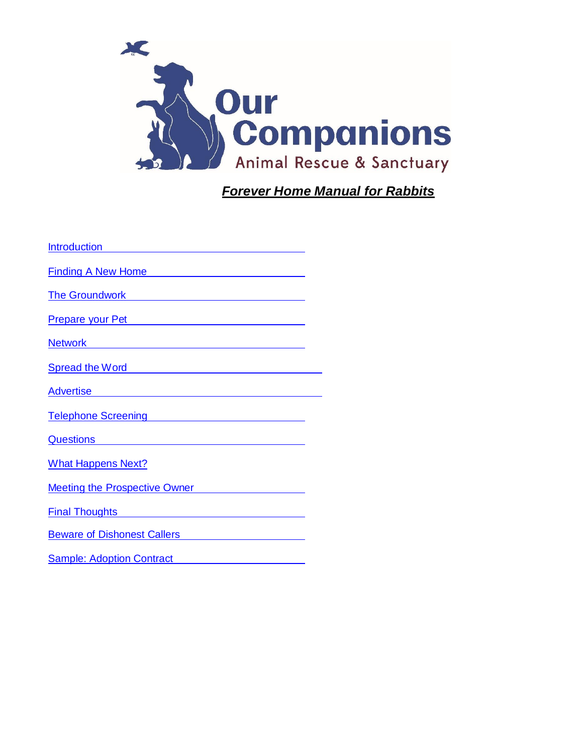

*Forever Home Manual for Rabbits*

| Int <u>roduction</u>                                                                                                                                                                                                                 |  |
|--------------------------------------------------------------------------------------------------------------------------------------------------------------------------------------------------------------------------------------|--|
| Finding A New Home <b>Example 2018</b>                                                                                                                                                                                               |  |
| The Groundwork <b>Constant Construction</b>                                                                                                                                                                                          |  |
| <u>Prepare your Pet entitled and the prepare your Peter</u>                                                                                                                                                                          |  |
| <u>Network and the community of the community of the community of the community of the community of the community of the community of the community of the community of the community of the community of the community of the c</u> |  |
| Spread the Word <b>Spread the Word</b>                                                                                                                                                                                               |  |
| Advertise Advertise                                                                                                                                                                                                                  |  |
| Telephone Screening Telephone Screening                                                                                                                                                                                              |  |
| <u>Questions</u> <b>Container and Container and Container and Container and Container and Container and Container and Container</b>                                                                                                  |  |
| <b>What Happens Next?</b>                                                                                                                                                                                                            |  |
| <b>Meeting the Prospective Owner</b>                                                                                                                                                                                                 |  |
| Final Thoughts <b>Final</b> Thoughts                                                                                                                                                                                                 |  |
| Beware of Dishonest Callers <b>Example 2016</b>                                                                                                                                                                                      |  |
| <b>Sample: Adoption Contract</b>                                                                                                                                                                                                     |  |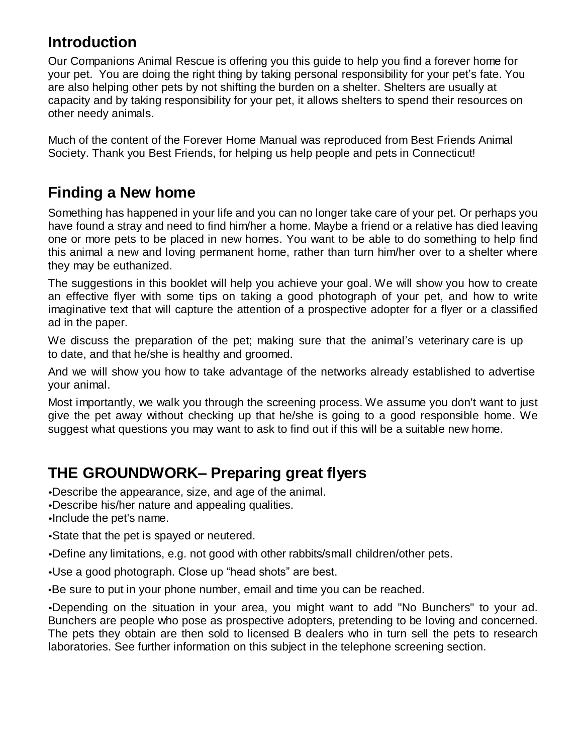### **Introduction**

Our Companions Animal Rescue is offering you this guide to help you find a forever home for your pet. You are doing the right thing by taking personal responsibility for your pet's fate. You are also helping other pets by not shifting the burden on a shelter. Shelters are usually at capacity and by taking responsibility for your pet, it allows shelters to spend their resources on other needy animals.

Much of the content of the Forever Home Manual was reproduced from Best Friends Animal Society. Thank you Best Friends, for helping us help people and pets in Connecticut!

## **Finding a New home**

Something has happened in your life and you can no longer take care of your pet. Or perhaps you have found a stray and need to find him/her a home. Maybe a friend or a relative has died leaving one or more pets to be placed in new homes. You want to be able to do something to help find this animal a new and loving permanent home, rather than turn him/her over to a shelter where they may be euthanized.

The suggestions in this booklet will help you achieve your goal. We will show you how to create an effective flyer with some tips on taking a good photograph of your pet, and how to write imaginative text that will capture the attention of a prospective adopter for a flyer or a classified ad in the paper.

We discuss the preparation of the pet; making sure that the animal's veterinary care is up to date, and that he/she is healthy and groomed.

And we will show you how to take advantage of the networks already established to advertise your animal.

Most importantly, we walk you through the screening process. We assume you don't want to just give the pet away without checking up that he/she is going to a good responsible home. We suggest what questions you may want to ask to find out if this will be a suitable new home.

### **THE GROUNDWORK– Preparing great flyers**

•Describe the appearance, size, and age of the animal.

•Describe his/her nature and appealing qualities.

•Include the pet's name.

•State that the pet is spayed or neutered.

•Define any limitations, e.g. not good with other rabbits/small children/other pets.

•Use a good photograph. Close up "head shots" are best.

•Be sure to put in your phone number, email and time you can be reached.

•Depending on the situation in your area, you might want to add "No Bunchers" to your ad. Bunchers are people who pose as prospective adopters, pretending to be loving and concerned. The pets they obtain are then sold to licensed B dealers who in turn sell the pets to research laboratories. See further information on this subject in the telephone screening section.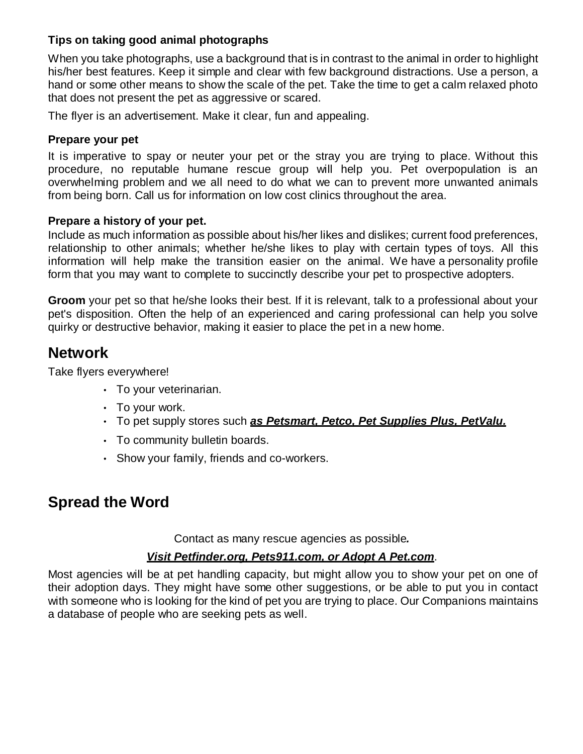#### **Tips on taking good animal photographs**

When you take photographs, use a background that is in contrast to the animal in order to highlight his/her best features. Keep it simple and clear with few background distractions. Use a person, a hand or some other means to show the scale of the pet. Take the time to get a calm relaxed photo that does not present the pet as aggressive or scared.

The flyer is an advertisement. Make it clear, fun and appealing.

#### **Prepare your pet**

It is imperative to spay or neuter your pet or the stray you are trying to place. Without this procedure, no reputable humane rescue group will help you. Pet overpopulation is an overwhelming problem and we all need to do what we can to prevent more unwanted animals from being born. Call us for information on low cost clinics throughout the area.

#### **Prepare a history of your pet.**

Include as much information as possible about his/her likes and dislikes; current food preferences, relationship to other animals; whether he/she likes to play with certain types of toys. All this information will help make the transition easier on the animal. We have a personality profile form that you may want to complete to succinctly describe your pet to prospective adopters.

**Groom** your pet so that he/she looks their best. If it is relevant, talk to a professional about your pet's disposition. Often the help of an experienced and caring professional can help you solve quirky or destructive behavior, making it easier to place the pet in a new home.

### **Network**

Take flyers everywhere!

- To your veterinarian.
- To your work.
- To pet supply stores such *as Petsmart, Petco, Pet Supplies Plus, PetValu.*
- $\cdot$  To community bulletin boards.
- Show your family, friends and co-workers.

### **Spread the Word**

Contact as many rescue agencies as possible*.*

#### *Visit Petfinder.org, Pets911.com, or Adopt A Pet.com*.

Most agencies will be at pet handling capacity, but might allow you to show your pet on one of their adoption days. They might have some other suggestions, or be able to put you in contact with someone who is looking for the kind of pet you are trying to place. Our Companions maintains a database of people who are seeking pets as well.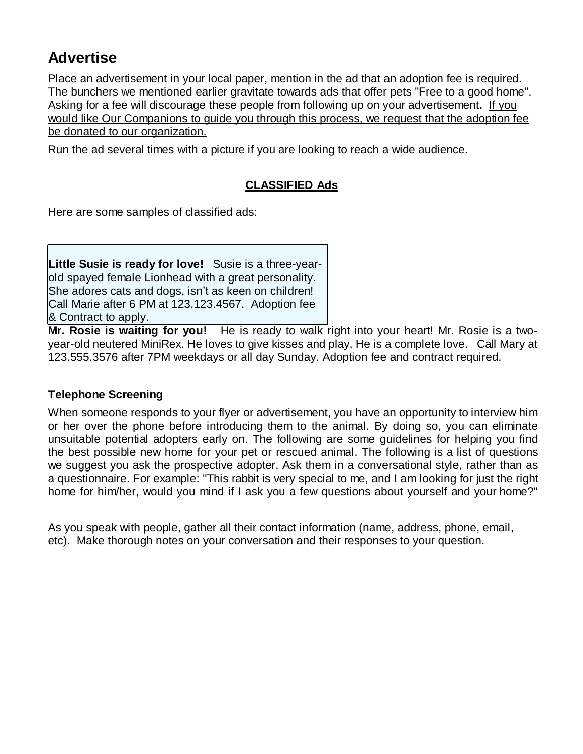### **Advertise**

Place an advertisement in your local paper, mention in the ad that an adoption fee is required. The bunchers we mentioned earlier gravitate towards ads that offer pets "Free to a good home". Asking for a fee will discourage these people from following up on your advertisement**.** If you would like Our Companions to guide you through this process, we request that the adoption fee be donated to our organization.

Run the ad several times with a picture if you are looking to reach a wide audience.

#### **CLASSIFIED Ads**

Here are some samples of classified ads:

**Little Susie is ready for love!** Susie is a three-yearold spayed female Lionhead with a great personality. She adores cats and dogs, isn't as keen on children! Call Marie after 6 PM at 123.123.4567. Adoption fee & Contract to apply.

**Mr. Rosie is waiting for you!** He is ready to walk right into your heart! Mr. Rosie is a twoyear-old neutered MiniRex. He loves to give kisses and play. He is a complete love. Call Mary at 123.555.3576 after 7PM weekdays or all day Sunday. Adoption fee and contract required.

#### **Telephone Screening**

When someone responds to your flyer or advertisement, you have an opportunity to interview him or her over the phone before introducing them to the animal. By doing so, you can eliminate unsuitable potential adopters early on. The following are some guidelines for helping you find the best possible new home for your pet or rescued animal. The following is a list of questions we suggest you ask the prospective adopter. Ask them in a conversational style, rather than as a questionnaire. For example: "This rabbit is very special to me, and I am looking for just the right home for him/her, would you mind if I ask you a few questions about yourself and your home?"

As you speak with people, gather all their contact information (name, address, phone, email, etc). Make thorough notes on your conversation and their responses to your question.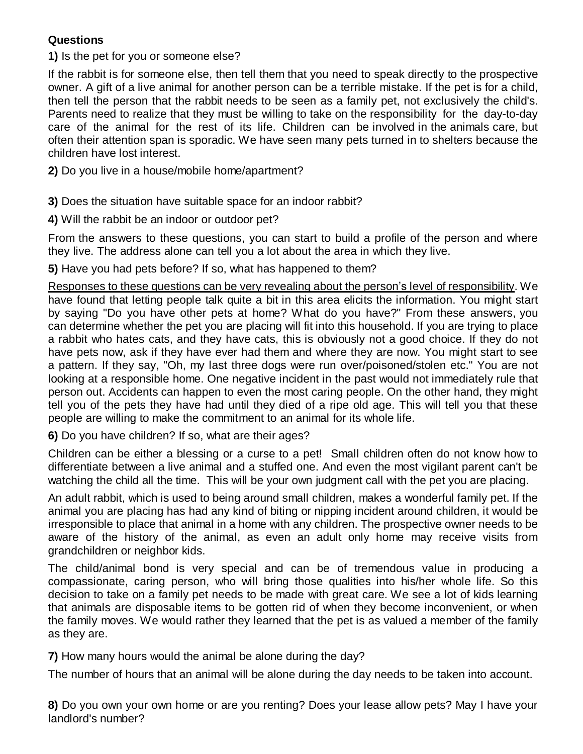#### **Questions**

**1)** Is the pet for you or someone else?

If the rabbit is for someone else, then tell them that you need to speak directly to the prospective owner. A gift of a live animal for another person can be a terrible mistake. If the pet is for a child, then tell the person that the rabbit needs to be seen as a family pet, not exclusively the child's. Parents need to realize that they must be willing to take on the responsibility for the day-to-day care of the animal for the rest of its life. Children can be involved in the animals care, but often their attention span is sporadic. We have seen many pets turned in to shelters because the children have lost interest.

**2)** Do you live in a house/mobile home/apartment?

**3)** Does the situation have suitable space for an indoor rabbit?

**4)** Will the rabbit be an indoor or outdoor pet?

From the answers to these questions, you can start to build a profile of the person and where they live. The address alone can tell you a lot about the area in which they live.

**5)** Have you had pets before? If so, what has happened to them?

Responses to these questions can be very revealing about the person's level of responsibility. We have found that letting people talk quite a bit in this area elicits the information. You might start by saying "Do you have other pets at home? What do you have?" From these answers, you can determine whether the pet you are placing will fit into this household. If you are trying to place a rabbit who hates cats, and they have cats, this is obviously not a good choice. If they do not have pets now, ask if they have ever had them and where they are now. You might start to see a pattern. If they say, "Oh, my last three dogs were run over/poisoned/stolen etc." You are not looking at a responsible home. One negative incident in the past would not immediately rule that person out. Accidents can happen to even the most caring people. On the other hand, they might tell you of the pets they have had until they died of a ripe old age. This will tell you that these people are willing to make the commitment to an animal for its whole life.

**6)** Do you have children? If so, what are their ages?

Children can be either a blessing or a curse to a pet! Small children often do not know how to differentiate between a live animal and a stuffed one. And even the most vigilant parent can't be watching the child all the time. This will be your own judgment call with the pet you are placing.

An adult rabbit, which is used to being around small children, makes a wonderful family pet. If the animal you are placing has had any kind of biting or nipping incident around children, it would be irresponsible to place that animal in a home with any children. The prospective owner needs to be aware of the history of the animal, as even an adult only home may receive visits from grandchildren or neighbor kids.

The child/animal bond is very special and can be of tremendous value in producing a compassionate, caring person, who will bring those qualities into his/her whole life. So this decision to take on a family pet needs to be made with great care. We see a lot of kids learning that animals are disposable items to be gotten rid of when they become inconvenient, or when the family moves. We would rather they learned that the pet is as valued a member of the family as they are.

**7)** How many hours would the animal be alone during the day?

The number of hours that an animal will be alone during the day needs to be taken into account.

**8)** Do you own your own home or are you renting? Does your lease allow pets? May I have your landlord's number?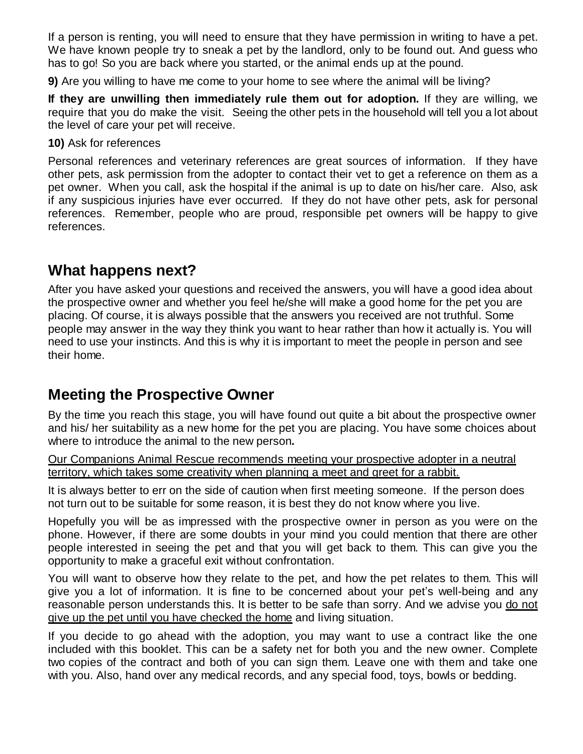If a person is renting, you will need to ensure that they have permission in writing to have a pet. We have known people try to sneak a pet by the landlord, only to be found out. And guess who has to go! So you are back where you started, or the animal ends up at the pound.

**9)** Are you willing to have me come to your home to see where the animal will be living?

**If they are unwilling then immediately rule them out for adoption.** If they are willing, we require that you do make the visit. Seeing the other pets in the household will tell you a lot about the level of care your pet will receive.

#### **10)** Ask for references

Personal references and veterinary references are great sources of information. If they have other pets, ask permission from the adopter to contact their vet to get a reference on them as a pet owner. When you call, ask the hospital if the animal is up to date on his/her care. Also, ask if any suspicious injuries have ever occurred. If they do not have other pets, ask for personal references. Remember, people who are proud, responsible pet owners will be happy to give references.

### **What happens next?**

After you have asked your questions and received the answers, you will have a good idea about the prospective owner and whether you feel he/she will make a good home for the pet you are placing. Of course, it is always possible that the answers you received are not truthful. Some people may answer in the way they think you want to hear rather than how it actually is. You will need to use your instincts. And this is why it is important to meet the people in person and see their home.

### **Meeting the Prospective Owner**

By the time you reach this stage, you will have found out quite a bit about the prospective owner and his/ her suitability as a new home for the pet you are placing. You have some choices about where to introduce the animal to the new person*.*

Our Companions Animal Rescue recommends meeting your prospective adopter in a neutral territory, which takes some creativity when planning a meet and greet for a rabbit.

It is always better to err on the side of caution when first meeting someone. If the person does not turn out to be suitable for some reason, it is best they do not know where you live.

Hopefully you will be as impressed with the prospective owner in person as you were on the phone. However, if there are some doubts in your mind you could mention that there are other people interested in seeing the pet and that you will get back to them. This can give you the opportunity to make a graceful exit without confrontation.

You will want to observe how they relate to the pet, and how the pet relates to them. This will give you a lot of information. It is fine to be concerned about your pet's well-being and any reasonable person understands this. It is better to be safe than sorry. And we advise you do not give up the pet until you have checked the home and living situation.

If you decide to go ahead with the adoption, you may want to use a contract like the one included with this booklet. This can be a safety net for both you and the new owner. Complete two copies of the contract and both of you can sign them. Leave one with them and take one with you. Also, hand over any medical records, and any special food, toys, bowls or bedding.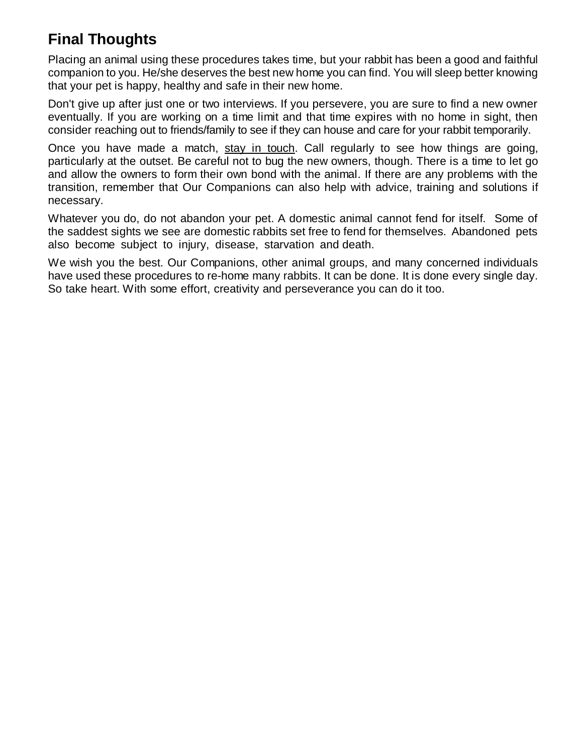# **Final Thoughts**

Placing an animal using these procedures takes time, but your rabbit has been a good and faithful companion to you. He/she deserves the best new home you can find. You will sleep better knowing that your pet is happy, healthy and safe in their new home.

Don't give up after just one or two interviews. If you persevere, you are sure to find a new owner eventually. If you are working on a time limit and that time expires with no home in sight, then consider reaching out to friends/family to see if they can house and care for your rabbit temporarily.

Once you have made a match, stay in touch. Call regularly to see how things are going, particularly at the outset. Be careful not to bug the new owners, though. There is a time to let go and allow the owners to form their own bond with the animal. If there are any problems with the transition, remember that Our Companions can also help with advice, training and solutions if necessary.

Whatever you do, do not abandon your pet. A domestic animal cannot fend for itself. Some of the saddest sights we see are domestic rabbits set free to fend for themselves. Abandoned pets also become subject to injury, disease, starvation and death.

We wish you the best. Our Companions, other animal groups, and many concerned individuals have used these procedures to re-home many rabbits. It can be done. It is done every single day. So take heart. With some effort, creativity and perseverance you can do it too.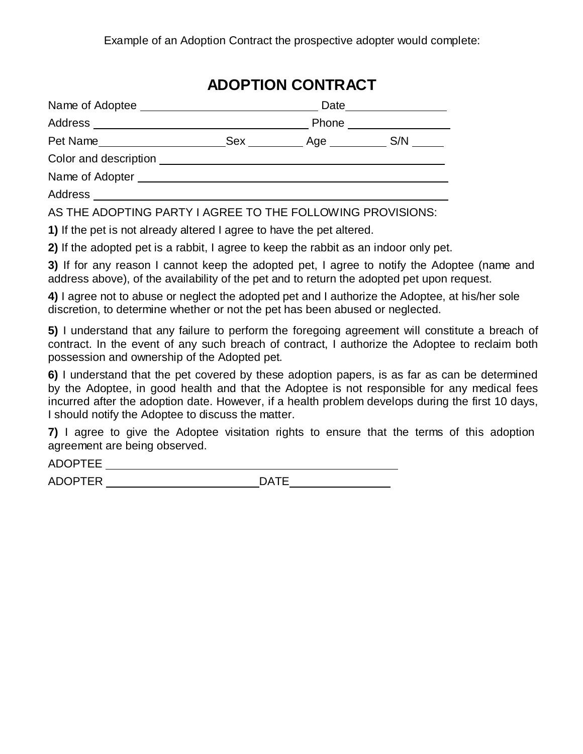## **ADOPTION CONTRACT**

| Name of Adoptee       |       | Date |     |
|-----------------------|-------|------|-----|
| Address               | Phone |      |     |
| Pet Name              | Sex   | Age  | S/N |
| Color and description |       |      |     |
| Name of Adopter       |       |      |     |
| Address               |       |      |     |

AS THE ADOPTING PARTY I AGREE TO THE FOLLOWING PROVISIONS:

**1)** If the pet is not already altered I agree to have the pet altered.

**2)** If the adopted pet is a rabbit, I agree to keep the rabbit as an indoor only pet.

**3)** If for any reason I cannot keep the adopted pet, I agree to notify the Adoptee (name and address above), of the availability of the pet and to return the adopted pet upon request.

**4)** I agree not to abuse or neglect the adopted pet and I authorize the Adoptee, at his/her sole discretion, to determine whether or not the pet has been abused or neglected.

**5)** I understand that any failure to perform the foregoing agreement will constitute a breach of contract. In the event of any such breach of contract, I authorize the Adoptee to reclaim both possession and ownership of the Adopted pet.

**6)** I understand that the pet covered by these adoption papers, is as far as can be determined by the Adoptee, in good health and that the Adoptee is not responsible for any medical fees incurred after the adoption date. However, if a health problem develops during the first 10 days, I should notify the Adoptee to discuss the matter.

**7)** I agree to give the Adoptee visitation rights to ensure that the terms of this adoption agreement are being observed.

ADOPTEE

ADOPTER DATE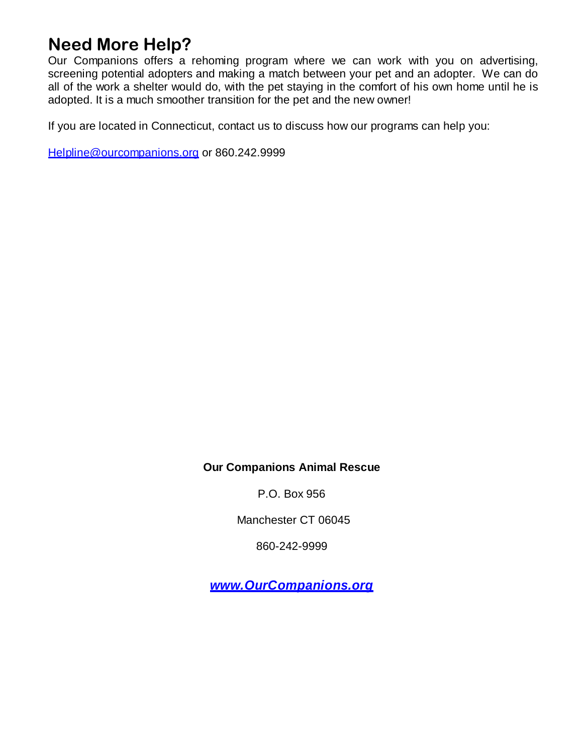# **Need More Help?**

Our Companions offers a rehoming program where we can work with you on advertising, screening potential adopters and making a match between your pet and an adopter. We can do all of the work a shelter would do, with the pet staying in the comfort of his own home until he is adopted. It is a much smoother transition for the pet and the new owner!

If you are located in Connecticut, contact us to discuss how our programs can help you:

[Helpline@ourcompanions.org](mailto:Helpline@ourcompanions.org) or 860.242.9999

#### **Our Companions Animal Rescue**

P.O. Box 956

Manchester CT 06045

860-242-9999

*[www.OurCompanions.org](http://www.ourcompanions.org/)*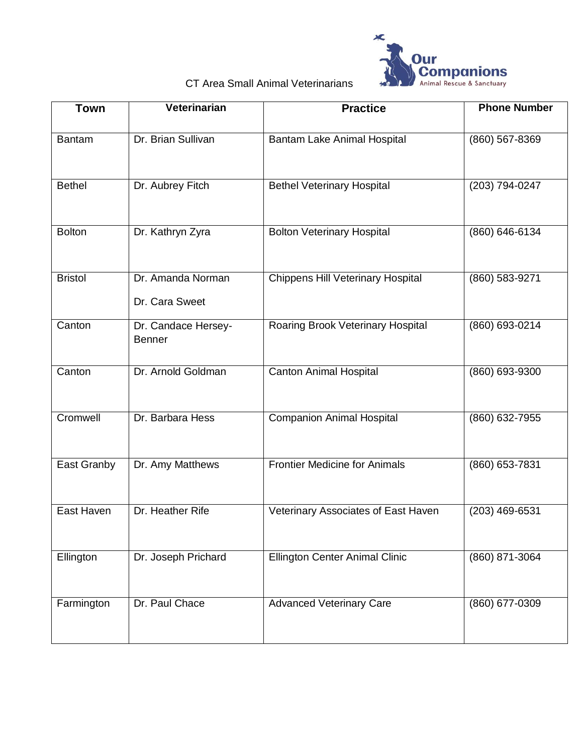

### CT Area Small Animal Veterinarians

| <b>Town</b>    | Veterinarian                         | <b>Practice</b>                          | <b>Phone Number</b> |
|----------------|--------------------------------------|------------------------------------------|---------------------|
| <b>Bantam</b>  | Dr. Brian Sullivan                   | Bantam Lake Animal Hospital              | (860) 567-8369      |
| <b>Bethel</b>  | Dr. Aubrey Fitch                     | <b>Bethel Veterinary Hospital</b>        | (203) 794-0247      |
| <b>Bolton</b>  | Dr. Kathryn Zyra                     | <b>Bolton Veterinary Hospital</b>        | (860) 646-6134      |
| <b>Bristol</b> | Dr. Amanda Norman<br>Dr. Cara Sweet  | <b>Chippens Hill Veterinary Hospital</b> | (860) 583-9271      |
| Canton         | Dr. Candace Hersey-<br><b>Benner</b> | Roaring Brook Veterinary Hospital        | (860) 693-0214      |
| Canton         | Dr. Arnold Goldman                   | <b>Canton Animal Hospital</b>            | (860) 693-9300      |
| Cromwell       | Dr. Barbara Hess                     | <b>Companion Animal Hospital</b>         | (860) 632-7955      |
| East Granby    | Dr. Amy Matthews                     | <b>Frontier Medicine for Animals</b>     | (860) 653-7831      |
| East Haven     | Dr. Heather Rife                     | Veterinary Associates of East Haven      | (203) 469-6531      |
| Ellington      | Dr. Joseph Prichard                  | <b>Ellington Center Animal Clinic</b>    | (860) 871-3064      |
| Farmington     | Dr. Paul Chace                       | <b>Advanced Veterinary Care</b>          | $(860)$ 677-0309    |